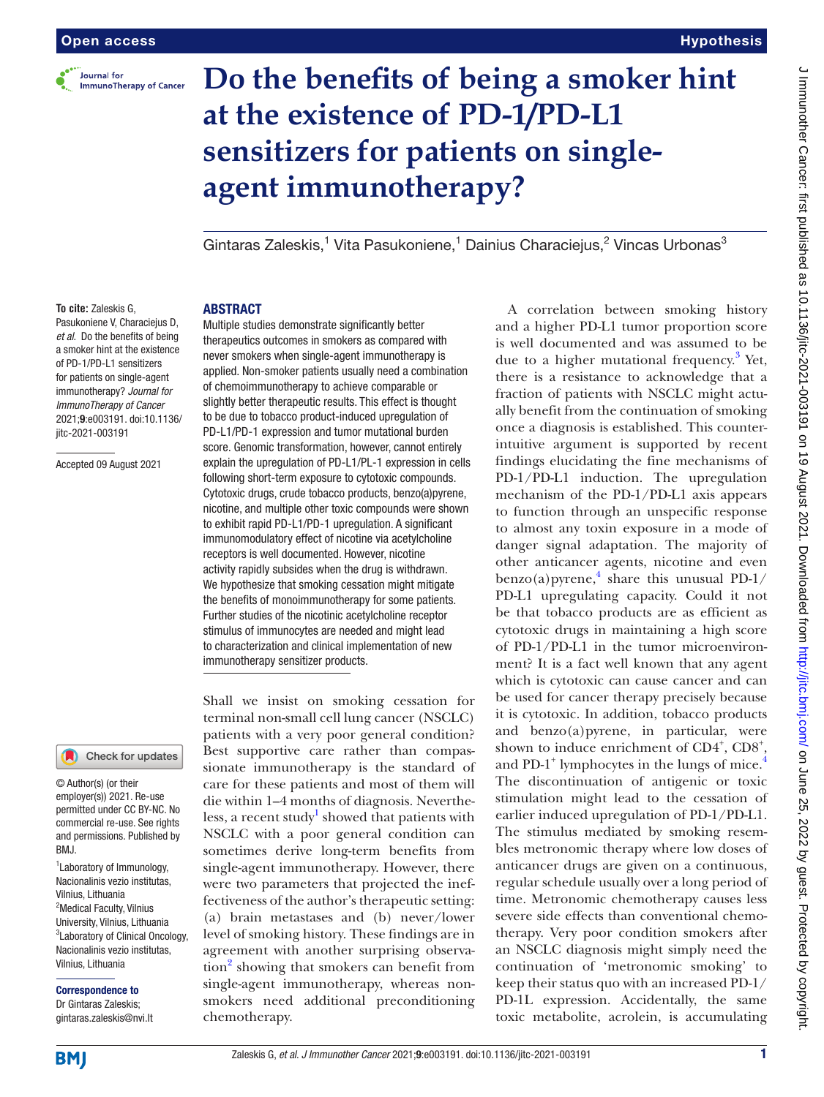

### **Hypothesis**

# **Do the benefits of being a smoker hint at the existence of PD-1/PD-L1 sensitizers for patients on singleagent immunotherapy?**

Gintaras Zaleskis,<sup>1</sup> Vita Pasukoniene,<sup>1</sup> Dainius Characiejus,<sup>2</sup> Vincas Urbonas<sup>3</sup>

#### **To cite:** Zaleskis G,

Pasukoniene V, Characieius D, *et al*. Do the benefits of being a smoker hint at the existence of PD-1/PD-L1 sensitizers for patients on single-agent immunotherapy? *Journal for ImmunoTherapy of Cancer* 2021;9:e003191. doi:10.1136/ jitc-2021-003191

ABSTRACT

Accepted 09 August 2021

#### Check for updates

© Author(s) (or their employer(s)) 2021. Re-use permitted under CC BY-NC. No commercial re-use. See rights and permissions. Published by BMJ.

1 Laboratory of Immunology, Nacionalinis vezio institutas, Vilnius, Lithuania <sup>2</sup>Medical Faculty, Vilnius University, Vilnius, Lithuania <sup>3</sup>Laboratory of Clinical Oncology, Nacionalinis vezio institutas, Vilnius, Lithuania

## Correspondence to

Dr Gintaras Zaleskis; gintaras.zaleskis@nvi.lt

Multiple studies demonstrate significantly better therapeutics outcomes in smokers as compared with never smokers when single-agent immunotherapy is applied. Non-smoker patients usually need a combination of chemoimmunotherapy to achieve comparable or slightly better therapeutic results. This effect is thought to be due to tobacco product-induced upregulation of PD-L1/PD-1 expression and tumor mutational burden score. Genomic transformation, however, cannot entirely explain the upregulation of PD-L1/PL-1 expression in cells following short-term exposure to cytotoxic compounds. Cytotoxic drugs, crude tobacco products, benzo(a)pyrene, nicotine, and multiple other toxic compounds were shown to exhibit rapid PD-L1/PD-1 upregulation. A significant immunomodulatory effect of nicotine via acetylcholine receptors is well documented. However, nicotine activity rapidly subsides when the drug is withdrawn. We hypothesize that smoking cessation might mitigate the benefits of monoimmunotherapy for some patients. Further studies of the nicotinic acetylcholine receptor stimulus of immunocytes are needed and might lead to characterization and clinical implementation of new immunotherapy sensitizer products.

Shall we insist on smoking cessation for terminal non-small cell lung cancer (NSCLC) patients with a very poor general condition? Best supportive care rather than compassionate immunotherapy is the standard of care for these patients and most of them will die within 1–4 months of diagnosis. Nevertheless, a recent study $^1$  showed that patients with NSCLC with a poor general condition can sometimes derive long-term benefits from single-agent immunotherapy. However, there were two parameters that projected the ineffectiveness of the author's therapeutic setting: (a) brain metastases and (b) never/lower level of smoking history. These findings are in agreement with another surprising observa-tion<sup>[2](#page-3-1)</sup> showing that smokers can benefit from single-agent immunotherapy, whereas nonsmokers need additional preconditioning chemotherapy.

A correlation between smoking history and a higher PD-L1 tumor proportion score is well documented and was assumed to be due to a higher mutational frequency.<sup>[3](#page-3-2)</sup> Yet, there is a resistance to acknowledge that a fraction of patients with NSCLC might actually benefit from the continuation of smoking once a diagnosis is established. This counterintuitive argument is supported by recent findings elucidating the fine mechanisms of PD-1/PD-L1 induction. The upregulation mechanism of the PD-1/PD-L1 axis appears to function through an unspecific response to almost any toxin exposure in a mode of danger signal adaptation. The majority of other anticancer agents, nicotine and even  $benzo(a) pyrene,$ <sup>[4](#page-3-3)</sup> share this unusual PD-1/ PD-L1 upregulating capacity. Could it not be that tobacco products are as efficient as cytotoxic drugs in maintaining a high score of PD-1/PD-L1 in the tumor microenvironment? It is a fact well known that any agent which is cytotoxic can cause cancer and can be used for cancer therapy precisely because it is cytotoxic. In addition, tobacco products and benzo(a)pyrene, in particular, were shown to induce enrichment of CD4<sup>+</sup>, CD8<sup>+</sup>, and PD-1<sup>+</sup> lymphocytes in the lungs of mice.<sup>4</sup> The discontinuation of antigenic or toxic stimulation might lead to the cessation of earlier induced upregulation of PD-1/PD-L1. The stimulus mediated by smoking resembles metronomic therapy where low doses of anticancer drugs are given on a continuous, regular schedule usually over a long period of time. Metronomic chemotherapy causes less severe side effects than conventional chemotherapy. Very poor condition smokers after an NSCLC diagnosis might simply need the continuation of 'metronomic smoking' to keep their status quo with an increased PD-1/ PD-1L expression. Accidentally, the same toxic metabolite, acrolein, is accumulating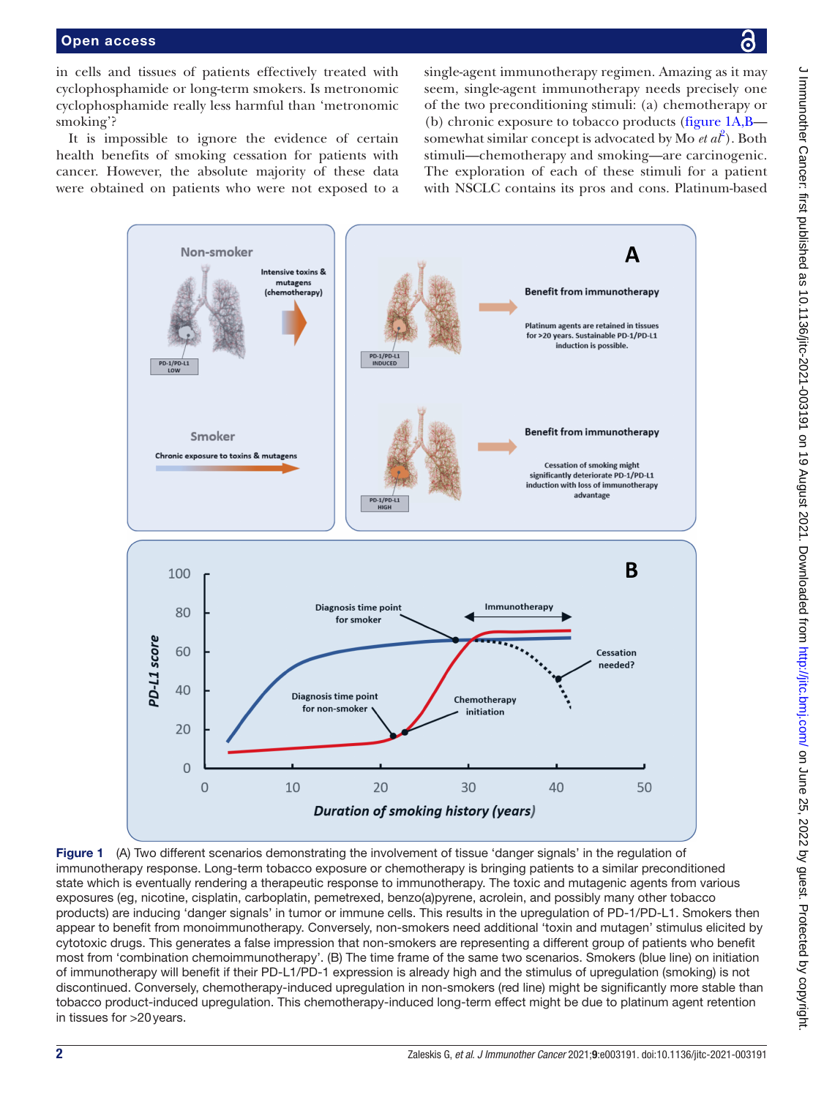$\epsilon$ 

in cells and tissues of patients effectively treated with cyclophosphamide or long-term smokers. Is metronomic cyclophosphamide really less harmful than 'metronomic smoking'?

It is impossible to ignore the evidence of certain health benefits of smoking cessation for patients with cancer. However, the absolute majority of these data were obtained on patients who were not exposed to a single-agent immunotherapy regimen. Amazing as it may seem, single-agent immunotherapy needs precisely one of the two preconditioning stimuli: (a) chemotherapy or (b) chronic exposure to tobacco products [\(figure](#page-1-0) 1A,B somewhat similar concept is advocated by Mo *et al*<sup>[2](#page-3-1)</sup>). Both stimuli—chemotherapy and smoking—are carcinogenic. The exploration of each of these stimuli for a patient with NSCLC contains its pros and cons. Platinum-based



<span id="page-1-0"></span>Figure 1 (A) Two different scenarios demonstrating the involvement of tissue 'danger signals' in the regulation of immunotherapy response. Long-term tobacco exposure or chemotherapy is bringing patients to a similar preconditioned state which is eventually rendering a therapeutic response to immunotherapy. The toxic and mutagenic agents from various exposures (eg, nicotine, cisplatin, carboplatin, pemetrexed, benzo(a)pyrene, acrolein, and possibly many other tobacco products) are inducing 'danger signals' in tumor or immune cells. This results in the upregulation of PD-1/PD-L1. Smokers then appear to benefit from monoimmunotherapy. Conversely, non-smokers need additional 'toxin and mutagen' stimulus elicited by cytotoxic drugs. This generates a false impression that non-smokers are representing a different group of patients who benefit most from 'combination chemoimmunotherapy'. (B) The time frame of the same two scenarios. Smokers (blue line) on initiation of immunotherapy will benefit if their PD-L1/PD-1 expression is already high and the stimulus of upregulation (smoking) is not discontinued. Conversely, chemotherapy-induced upregulation in non-smokers (red line) might be significantly more stable than tobacco product-induced upregulation. This chemotherapy-induced long-term effect might be due to platinum agent retention in tissues for >20years.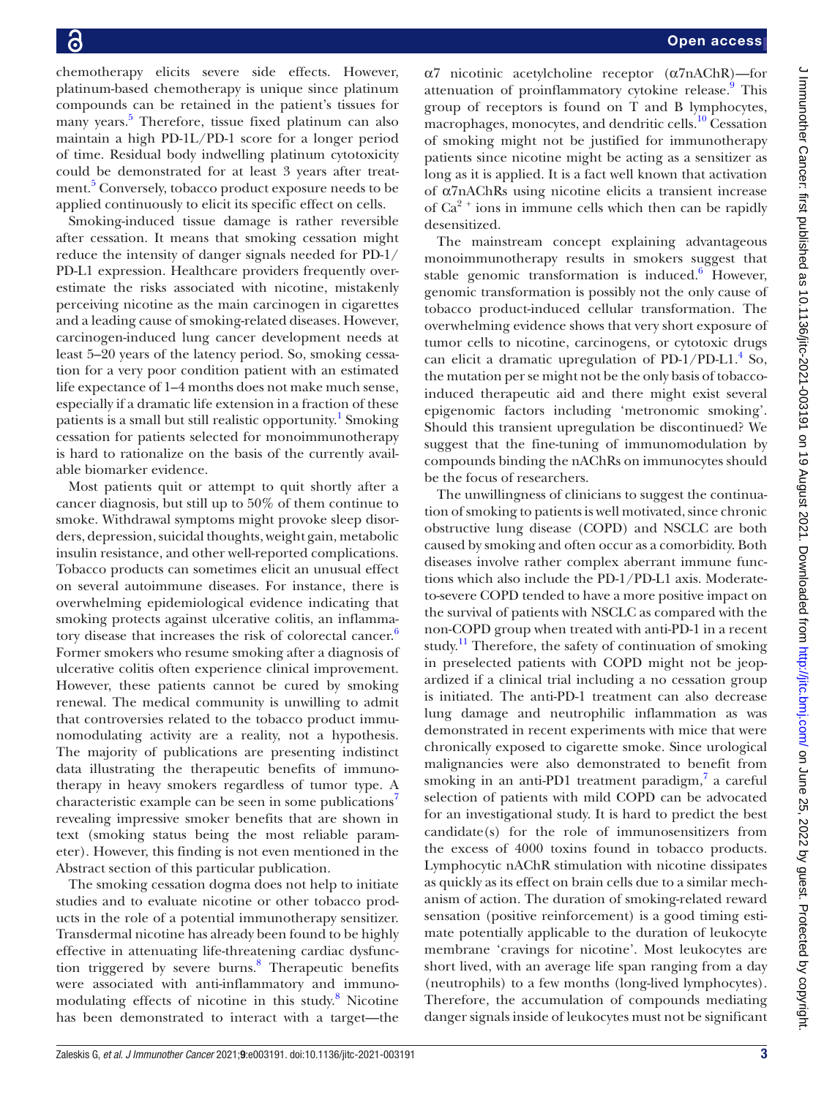chemotherapy elicits severe side effects. However, platinum-based chemotherapy is unique since platinum compounds can be retained in the patient's tissues for many years. [5](#page-3-4) Therefore, tissue fixed platinum can also maintain a high PD-1L/PD-1 score for a longer period of time. Residual body indwelling platinum cytotoxicity could be demonstrated for at least 3 years after treat-ment.<sup>[5](#page-3-4)</sup> Conversely, tobacco product exposure needs to be applied continuously to elicit its specific effect on cells.

Smoking-induced tissue damage is rather reversible after cessation. It means that smoking cessation might reduce the intensity of danger signals needed for PD-1/ PD-L1 expression. Healthcare providers frequently overestimate the risks associated with nicotine, mistakenly perceiving nicotine as the main carcinogen in cigarettes and a leading cause of smoking-related diseases. However, carcinogen-induced lung cancer development needs at least 5–20 years of the latency period. So, smoking cessation for a very poor condition patient with an estimated life expectance of 1–4 months does not make much sense, especially if a dramatic life extension in a fraction of these patients is a small but still realistic opportunity.<sup>[1](#page-3-0)</sup> Smoking cessation for patients selected for monoimmunotherapy is hard to rationalize on the basis of the currently available biomarker evidence.

Most patients quit or attempt to quit shortly after a cancer diagnosis, but still up to 50% of them continue to smoke. Withdrawal symptoms might provoke sleep disorders, depression, suicidal thoughts, weight gain, metabolic insulin resistance, and other well-reported complications. Tobacco products can sometimes elicit an unusual effect on several autoimmune diseases. For instance, there is overwhelming epidemiological evidence indicating that smoking protects against ulcerative colitis, an inflamma-tory disease that increases the risk of colorectal cancer.<sup>[6](#page-3-5)</sup> Former smokers who resume smoking after a diagnosis of ulcerative colitis often experience clinical improvement. However, these patients cannot be cured by smoking renewal. The medical community is unwilling to admit that controversies related to the tobacco product immunomodulating activity are a reality, not a hypothesis. The majority of publications are presenting indistinct data illustrating the therapeutic benefits of immunotherapy in heavy smokers regardless of tumor type. A characteristic example can be seen in some publications<sup>[7](#page-3-6)</sup> revealing impressive smoker benefits that are shown in text (smoking status being the most reliable parameter). However, this finding is not even mentioned in the Abstract section of this particular publication.

The smoking cessation dogma does not help to initiate studies and to evaluate nicotine or other tobacco products in the role of a potential immunotherapy sensitizer. Transdermal nicotine has already been found to be highly effective in attenuating life-threatening cardiac dysfunc-tion triggered by severe burns.<sup>[8](#page-3-7)</sup> Therapeutic benefits were associated with anti-inflammatory and immunomodulating effects of nicotine in this study.[8](#page-3-7) Nicotine has been demonstrated to interact with a target—the

α7 nicotinic acetylcholine receptor (α7nAChR)—for attenuation of proinflammatory cytokine release.<sup>[9](#page-3-8)</sup> This group of receptors is found on T and B lymphocytes, macrophages, monocytes, and dendritic cells.<sup>10</sup> Cessation of smoking might not be justified for immunotherapy patients since nicotine might be acting as a sensitizer as long as it is applied. It is a fact well known that activation of α7nAChRs using nicotine elicits a transient increase of  $Ca^{2+}$  ions in immune cells which then can be rapidly desensitized.

The mainstream concept explaining advantageous monoimmunotherapy results in smokers suggest that stable genomic transformation is induced. $6$  However, genomic transformation is possibly not the only cause of tobacco product-induced cellular transformation. The overwhelming evidence shows that very short exposure of tumor cells to nicotine, carcinogens, or cytotoxic drugs can elicit a dramatic upregulation of PD-1/PD-L1. $^{4}$  $^{4}$  $^{4}$  So, the mutation per se might not be the only basis of tobaccoinduced therapeutic aid and there might exist several epigenomic factors including 'metronomic smoking'. Should this transient upregulation be discontinued? We suggest that the fine-tuning of immunomodulation by compounds binding the nAChRs on immunocytes should be the focus of researchers.

The unwillingness of clinicians to suggest the continuation of smoking to patients is well motivated, since chronic obstructive lung disease (COPD) and NSCLC are both caused by smoking and often occur as a comorbidity. Both diseases involve rather complex aberrant immune functions which also include the PD-1/PD-L1 axis. Moderateto-severe COPD tended to have a more positive impact on the survival of patients with NSCLC as compared with the non-COPD group when treated with anti-PD-1 in a recent study.<sup>[11](#page-3-10)</sup> Therefore, the safety of continuation of smoking in preselected patients with COPD might not be jeopardized if a clinical trial including a no cessation group is initiated. The anti-PD-1 treatment can also decrease lung damage and neutrophilic inflammation as was demonstrated in recent experiments with mice that were chronically exposed to cigarette smoke. Since urological malignancies were also demonstrated to benefit from smoking in an anti-PD1 treatment paradigm, $7$  a careful selection of patients with mild COPD can be advocated for an investigational study. It is hard to predict the best candidate(s) for the role of immunosensitizers from the excess of 4000 toxins found in tobacco products. Lymphocytic nAChR stimulation with nicotine dissipates as quickly as its effect on brain cells due to a similar mechanism of action. The duration of smoking-related reward sensation (positive reinforcement) is a good timing estimate potentially applicable to the duration of leukocyte membrane 'cravings for nicotine'. Most leukocytes are short lived, with an average life span ranging from a day (neutrophils) to a few months (long-lived lymphocytes). Therefore, the accumulation of compounds mediating danger signals inside of leukocytes must not be significant